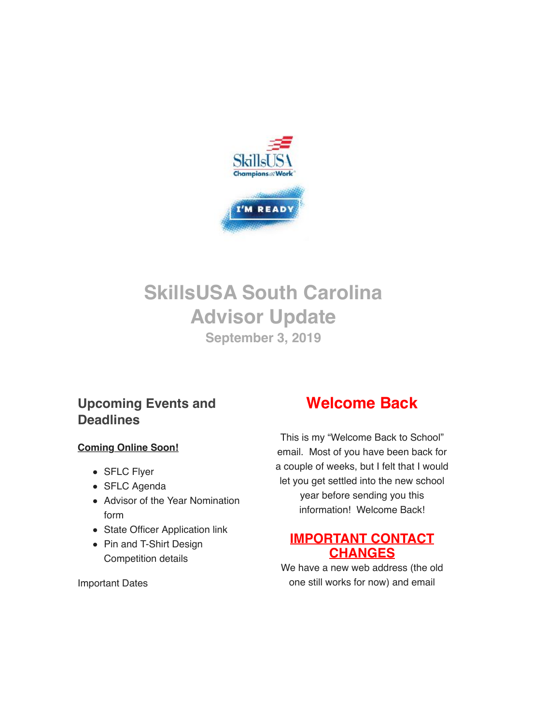

# **SkillsUSA South Carolina Advisor Update September 3, 2019**

## **Upcoming Events and Deadlines**

### **Coming Online Soon!**

- SFLC Flyer
- SFLC Agenda
- Advisor of the Year Nomination form
- State Officer Application link
- Pin and T-Shirt Design Competition details

# **Welcome Back**

This is my "Welcome Back to School" email. Most of you have been back for a couple of weeks, but I felt that I would let you get settled into the new school year before sending you this information! Welcome Back!

## **IMPORTANT CONTACT CHANGES**

We have a new web address (the old one still works for now) and email

Important Dates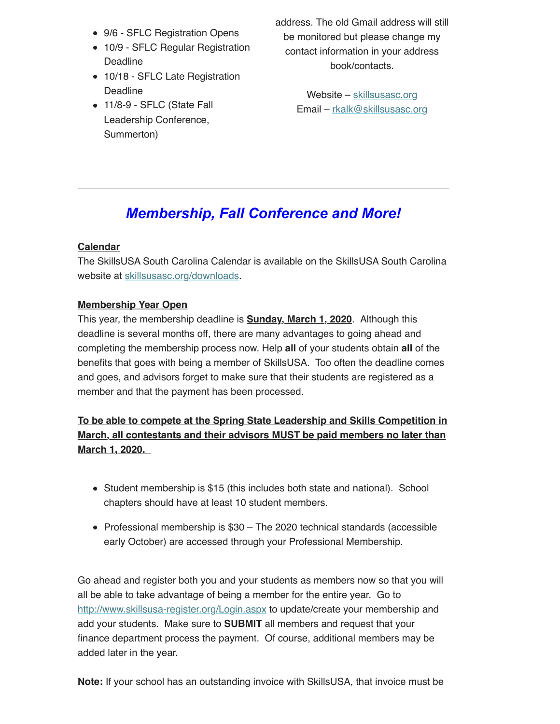- 9/6 SFLC Registration Opens
- 10/9 SFLC Regular Registration Deadline
- 10/18 SFLC Late Registration Deadline
- 11/8-9 SFLC (State Fall Leadership Conference, Summerton)

address. The old Gmail address will still be monitored but please change my contact information in your address book/contacts.

> Website – [skillsusasc.org](http://skillsusasc.org/) Email – [rkalk@skillsusasc.org](mailto:rkalk@skillsusasc.org)

# *Membership, Fall Conference and More!*

### **Calendar**

The SkillsUSA South Carolina Calendar is available on the SkillsUSA South Carolina website at [skillsusasc.org/downloads](http://skillsusasc.org/downloads).

#### **Membership Year Open**

This year, the membership deadline is **Sunday, March 1, 2020**. Although this deadline is several months off, there are many advantages to going ahead and completing the membership process now. Help **all** of your students obtain **all** of the benefits that goes with being a member of SkillsUSA. Too often the deadline comes and goes, and advisors forget to make sure that their students are registered as a member and that the payment has been processed.

**To be able to compete at the Spring State Leadership and Skills Competition in March, all contestants and their advisors MUST be paid members no later than March 1, 2020.** 

- Student membership is \$15 (this includes both state and national). School chapters should have at least 10 student members.
- Professional membership is \$30 The 2020 technical standards (accessible early October) are accessed through your Professional Membership.

Go ahead and register both you and your students as members now so that you will all be able to take advantage of being a member for the entire year. Go to <http://www.skillsusa-register.org/Login.aspx> to update/create your membership and add your students. Make sure to **SUBMIT** all members and request that your finance department process the payment. Of course, additional members may be added later in the year.

**Note:** If your school has an outstanding invoice with SkillsUSA, that invoice must be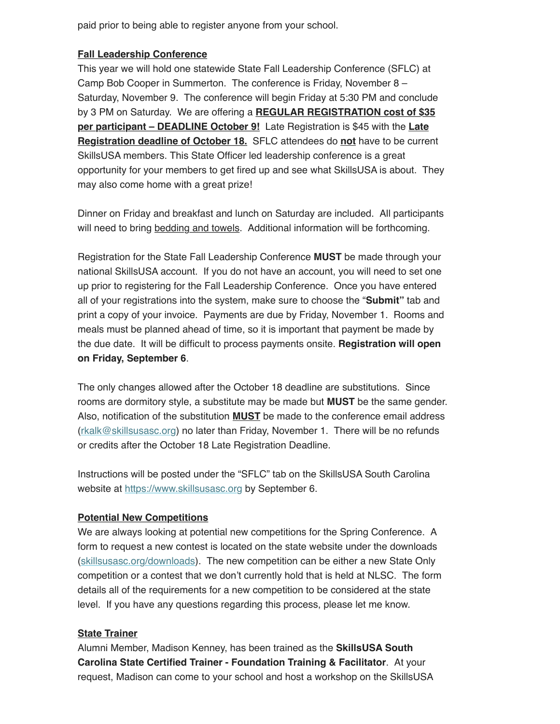paid prior to being able to register anyone from your school.

#### **Fall Leadership Conference**

This year we will hold one statewide State Fall Leadership Conference (SFLC) at Camp Bob Cooper in Summerton. The conference is Friday, November 8 – Saturday, November 9. The conference will begin Friday at 5:30 PM and conclude by 3 PM on Saturday. We are offering a **REGULAR REGISTRATION cost of \$35 per participant – DEADLINE October 9!** Late Registration is \$45 with the **Late Registration deadline of October 18.** SFLC attendees do **not** have to be current SkillsUSA members. This State Officer led leadership conference is a great opportunity for your members to get fired up and see what SkillsUSA is about. They may also come home with a great prize!

Dinner on Friday and breakfast and lunch on Saturday are included. All participants will need to bring bedding and towels. Additional information will be forthcoming.

Registration for the State Fall Leadership Conference **MUST** be made through your national SkillsUSA account. If you do not have an account, you will need to set one up prior to registering for the Fall Leadership Conference. Once you have entered all of your registrations into the system, make sure to choose the "**Submit"** tab and print a copy of your invoice. Payments are due by Friday, November 1. Rooms and meals must be planned ahead of time, so it is important that payment be made by the due date. It will be difficult to process payments onsite. **Registration will open on Friday, September 6**.

The only changes allowed after the October 18 deadline are substitutions. Since rooms are dormitory style, a substitute may be made but **MUST** be the same gender. Also, notification of the substitution **MUST** be made to the conference email address ([rkalk@skillsusasc.org\)](mailto:rkalk@skillsusasc.org) no later than Friday, November 1. There will be no refunds or credits after the October 18 Late Registration Deadline.

Instructions will be posted under the "SFLC" tab on the SkillsUSA South Carolina website at [https://www.skillsusasc.org](https://www.skillsusasc.org/) by September 6.

#### **Potential New Competitions**

We are always looking at potential new competitions for the Spring Conference. A form to request a new contest is located on the state website under the downloads ([skillsusasc.org/downloads](http://skillsusasc.org/downloads)). The new competition can be either a new State Only competition or a contest that we don't currently hold that is held at NLSC. The form details all of the requirements for a new competition to be considered at the state level. If you have any questions regarding this process, please let me know.

#### **State Trainer**

Alumni Member, Madison Kenney, has been trained as the **SkillsUSA South Carolina State Certified Trainer - Foundation Training & Facilitator**. At your request, Madison can come to your school and host a workshop on the SkillsUSA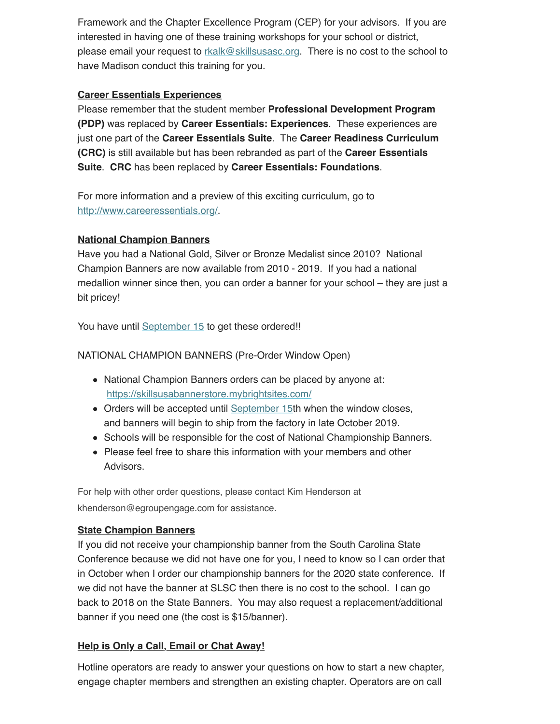Framework and the Chapter Excellence Program (CEP) for your advisors. If you are interested in having one of these training workshops for your school or district, please email your request to [rkalk@skillsusasc.org.](mailto:rkalk@skillsusasc.org) There is no cost to the school to have Madison conduct this training for you.

#### **Career Essentials Experiences**

Please remember that the student member **Professional Development Program (PDP)** was replaced by **Career Essentials: Experiences**. These experiences are just one part of the **Career Essentials Suite**. The **Career Readiness Curriculum (CRC)** is still available but has been rebranded as part of the **Career Essentials Suite**. **CRC** has been replaced by **Career Essentials: Foundations**.

For more information and a preview of this exciting curriculum, go to <http://www.careeressentials.org/>.

#### **National Champion Banners**

Have you had a National Gold, Silver or Bronze Medalist since 2010? National Champion Banners are now available from 2010 - 2019. If you had a national medallion winner since then, you can order a banner for your school – they are just a bit pricey!

You have until [September 15](http://airmail.calendar/2019-09-15%2012:00:00%20EDT) to get these ordered!!

NATIONAL CHAMPION BANNERS (Pre-Order Window Open)

- National Champion Banners orders can be placed by anyone at: [https://skillsusabannerstore.mybrightsites.com/](https://protect2.fireeye.com/url?k=e6a4ed74-bae5915b-e6a621be-0cc47a6d17a8-3dc4169544174414&q=1&u=https%3A%2F%2Fskillsusabannerstore.mybrightsites.com%2F)
- Orders will be accepted until [September 15](http://airmail.calendar/2019-09-15%2012:00:00%20EDT)th when the window closes, and banners will begin to ship from the factory in late October 2019.
- Schools will be responsible for the cost of National Championship Banners.
- Please feel free to share this information with your members and other **Advisors**

For help with other order questions, please contact Kim Henderson at khenderson@egroupengage.com for assistance.

### **State Champion Banners**

If you did not receive your championship banner from the South Carolina State Conference because we did not have one for you, I need to know so I can order that in October when I order our championship banners for the 2020 state conference. If we did not have the banner at SLSC then there is no cost to the school. I can go back to 2018 on the State Banners. You may also request a replacement/additional banner if you need one (the cost is \$15/banner).

### **Help is Only a Call, Email or Chat Away!**

Hotline operators are ready to answer your questions on how to start a new chapter, engage chapter members and strengthen an existing chapter. Operators are on call